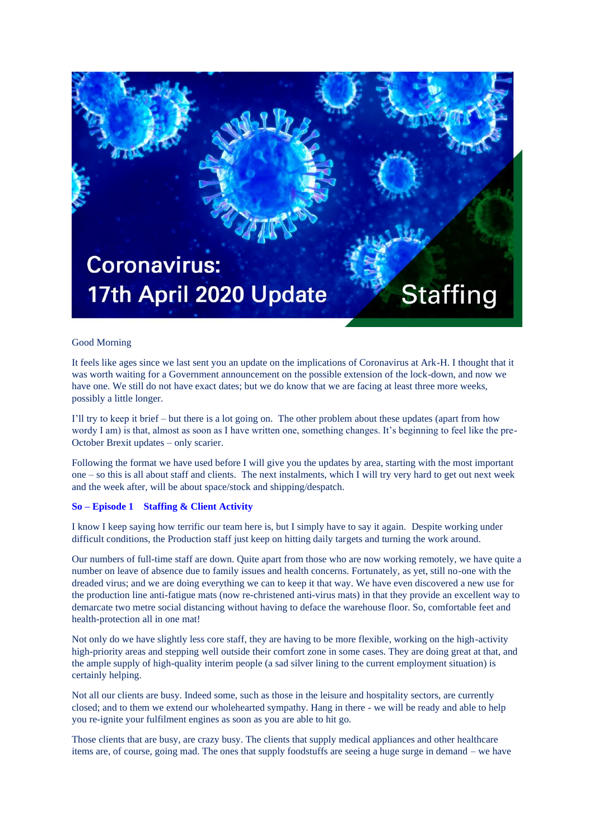

## Good Morning

It feels like ages since we last sent you an update on the implications of Coronavirus at Ark-H. I thought that it was worth waiting for a Government announcement on the possible extension of the lock-down, and now we have one. We still do not have exact dates; but we do know that we are facing at least three more weeks, possibly a little longer.

I'll try to keep it brief – but there is a lot going on. The other problem about these updates (apart from how wordy I am) is that, almost as soon as I have written one, something changes. It's beginning to feel like the pre-October Brexit updates – only scarier.

Following the format we have used before I will give you the updates by area, starting with the most important one – so this is all about staff and clients. The next instalments, which I will try very hard to get out next week and the week after, will be about space/stock and shipping/despatch.

## **So – Episode 1 Staffing & Client Activity**

I know I keep saying how terrific our team here is, but I simply have to say it again. Despite working under difficult conditions, the Production staff just keep on hitting daily targets and turning the work around.

Our numbers of full-time staff are down. Quite apart from those who are now working remotely, we have quite a number on leave of absence due to family issues and health concerns. Fortunately, as yet, still no-one with the dreaded virus; and we are doing everything we can to keep it that way. We have even discovered a new use for the production line anti-fatigue mats (now re-christened anti-virus mats) in that they provide an excellent way to demarcate two metre social distancing without having to deface the warehouse floor. So, comfortable feet and health-protection all in one mat!

Not only do we have slightly less core staff, they are having to be more flexible, working on the high-activity high-priority areas and stepping well outside their comfort zone in some cases. They are doing great at that, and the ample supply of high-quality interim people (a sad silver lining to the current employment situation) is certainly helping.

Not all our clients are busy. Indeed some, such as those in the leisure and hospitality sectors, are currently closed; and to them we extend our wholehearted sympathy. Hang in there - we will be ready and able to help you re-ignite your fulfilment engines as soon as you are able to hit go.

Those clients that are busy, are crazy busy. The clients that supply medical appliances and other healthcare items are, of course, going mad. The ones that supply foodstuffs are seeing a huge surge in demand – we have